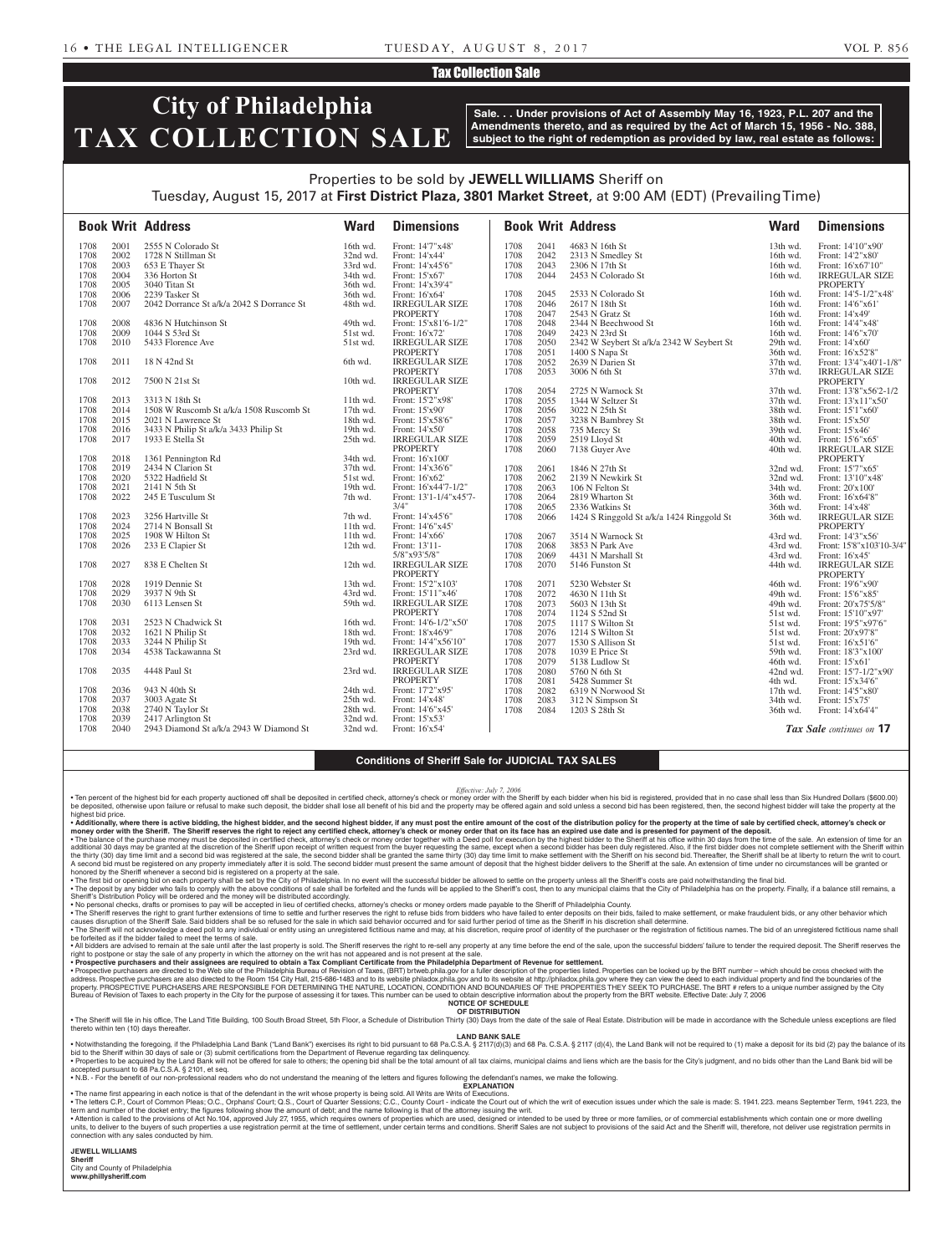### Tax Collection Sale

# **City of Philadelphia TAX COLLECTION SALE**

**Sale. . . Under provisions of Act of Assembly May 16, 1923, P.L. 207 and the Amendments thereto, and as required by the Act of March 15, 1956 - No. 388, subject to the right of redemption as provided by law, real estate as follows:**

# Properties to be sold by **JEWELL WILLIAMS** Sheriff on Tuesday, August 15, 2017 at **First District Plaza, 3801 Market Street**, at 9:00 AM (EDT) (Prevailing Time)

|      |      | <b>Book Writ Address</b>                  | <b>Ward</b> | <b>Dimensions</b>      |      |      | <b>Book Writ Address</b>                  | <b>Ward</b> | <b>Dimensions</b>               |
|------|------|-------------------------------------------|-------------|------------------------|------|------|-------------------------------------------|-------------|---------------------------------|
| 1708 | 2001 | 2555 N Colorado St                        | 16th wd.    | Front: 14'7"x48'       | 1708 | 2041 | 4683 N 16th St                            | 13th wd.    | Front: 14'10"x90"               |
| 1708 | 2002 | 1728 N Stillman St                        | 32nd wd.    | Front: 14'x44'         | 1708 | 2042 | 2313 N Smedley St                         | 16th wd.    | Front: 14'2"x80"                |
| 1708 | 2003 | 653 E Thayer St                           | 33rd wd.    | Front: 14'x45'6"       | 1708 | 2043 | 2306 N 17th St                            | 16th wd.    | Front: 16'x67'10"               |
| 1708 | 2004 | 336 Horton St                             | 34th wd.    | Front: 15'x67'         | 1708 | 2044 | 2453 N Colorado St                        | 16th wd.    | <b>IRREGULAR SIZE</b>           |
| 1708 | 2005 | 3040 Titan St                             | 36th wd.    | Front: 14'x39'4"       |      |      |                                           |             | <b>PROPERTY</b>                 |
| 1708 | 2006 | 2239 Tasker St                            | 36th wd.    | Front: 16'x64          | 1708 | 2045 | 2533 N Colorado St                        | 16th wd.    | Front: 14'5-1/2"x48'            |
| 1708 | 2007 | 2042 Dorrance St a/k/a 2042 S Dorrance St | 48th wd.    | <b>IRREGULAR SIZE</b>  | 1708 | 2046 | 2617 N 18th St                            | 16th wd.    | Front: 14'6"x61                 |
|      |      |                                           |             | <b>PROPERTY</b>        | 1708 | 2047 | 2543 N Gratz St                           | 16th wd.    | Front: 14'x49'                  |
| 1708 | 2008 | 4836 N Hutchinson St                      | 49th wd.    | Front: 15'x81'6-1/2"   | 1708 | 2048 | 2344 N Beechwood St                       | 16th wd.    | Front: 14'4"x48'                |
| 1708 | 2009 | 1044 S 53rd St                            | 51st wd.    | Front: 16'x72'         | 1708 | 2049 | 2423 N 23rd St                            | 16th wd.    | Front: 14'6"x70'                |
| 1708 | 2010 | 5433 Florence Ave                         | 51st wd.    | <b>IRREGULAR SIZE</b>  | 1708 | 2050 | 2342 W Seybert St a/k/a 2342 W Seybert St | 29th wd.    | Front: 14'x60'                  |
|      |      |                                           |             | <b>PROPERTY</b>        | 1708 | 2051 | 1400 S Napa St                            | 36th wd.    | Front: 16'x52'8"                |
| 1708 | 2011 | 18 N 42nd St                              | 6th wd.     | <b>IRREGULAR SIZE</b>  | 1708 | 2052 | 2639 N Darien St                          | 37th wd.    | Front: 13'4"x40'1-1/8"          |
|      |      |                                           |             | <b>PROPERTY</b>        | 1708 | 2053 | 3006 N 6th St                             | 37th wd.    | <b>IRREGULAR SIZE</b>           |
| 1708 | 2012 | 7500 N 21st St                            | 10th wd.    | <b>IRREGULAR SIZE</b>  |      |      |                                           |             | <b>PROPERTY</b>                 |
|      |      |                                           |             | <b>PROPERTY</b>        | 1708 | 2054 | 2725 N Warnock St                         | 37th wd.    | Front: 13'8"x56'2-1/2           |
| 1708 | 2013 | 3313 N 18th St                            | 11th wd.    | Front: 15'2"x98'       | 1708 | 2055 | 1344 W Seltzer St                         | 37th wd.    | Front: 13'x11"x50"              |
| 1708 | 2014 | 1508 W Ruscomb St a/k/a 1508 Ruscomb St   | 17th wd.    | Front: 15'x90'         | 1708 | 2056 | 3022 N 25th St                            | 38th wd.    | Front: 15'1"x60'                |
| 1708 | 2015 | 2021 N Lawrence St                        | 18th wd.    | Front: 15'x58'6"       | 1708 | 2057 | 3238 N Bambrey St                         | 38th wd.    | Front: 15'x50'                  |
| 1708 | 2016 | 3433 N Philip St a/k/a 3433 Philip St     | 19th wd.    | Front: 14'x50'         | 1708 | 2058 | 735 Mercy St                              | 39th wd.    | Front: 15'x46'                  |
| 1708 | 2017 | 1933 E Stella St                          | 25th wd.    | <b>IRREGULAR SIZE</b>  | 1708 | 2059 | 2519 Lloyd St                             | 40th wd.    | Front: 15'6"x65'                |
|      |      |                                           |             | <b>PROPERTY</b>        | 1708 | 2060 | 7138 Guyer Ave                            | 40th wd.    | <b>IRREGULAR SIZE</b>           |
| 1708 | 2018 | 1361 Pennington Rd                        | 34th wd.    | Front: 16'x100'        |      |      |                                           |             | <b>PROPERTY</b>                 |
| 1708 | 2019 | 2434 N Clarion St                         | 37th wd.    | Front: 14'x36'6"       | 1708 | 2061 | 1846 N 27th St                            | 32nd wd.    | Front: 15'7"x65'                |
| 1708 | 2020 | 5322 Hadfield St                          | 51st wd.    | Front: 16'x62'         | 1708 | 2062 | 2139 N Newkirk St                         | 32nd wd.    | Front: 13'10"x48'               |
| 1708 | 2021 | 2141 N 5th St                             | 19th wd.    | Front: 16'x44'7-1/2"   | 1708 | 2063 | 106 N Felton St                           | 34th wd.    | Front: 20'x100'                 |
| 1708 | 2022 | 245 E Tusculum St                         | 7th wd.     | Front: 13'1-1/4"x45'7- | 1708 | 2064 | 2819 Wharton St                           | 36th wd.    | Front: 16'x64'8"                |
|      |      |                                           |             | 3/4"                   | 1708 | 2065 | 2336 Watkins St                           | 36th wd.    | Front: 14'x48'                  |
| 1708 | 2023 | 3256 Hartville St                         | 7th wd.     | Front: 14'x45'6"       | 1708 | 2066 | 1424 S Ringgold St a/k/a 1424 Ringgold St | 36th wd.    | <b>IRREGULAR SIZE</b>           |
| 1708 | 2024 | 2714 N Bonsall St                         | 11th wd.    | Front: 14'6"x45'       |      |      |                                           |             | <b>PROPERTY</b>                 |
| 1708 | 2025 | 1908 W Hilton St                          | 11th wd.    | Front: 14'x66'         | 1708 | 2067 | 3514 N Warnock St                         | 43rd wd.    | Front: 14'3"x56'                |
| 1708 | 2026 | 233 E Clapier St                          | $12th$ wd.  | Front: 13'11-          | 1708 | 2068 | 3853 N Park Ave                           | 43rd wd.    | Front: 15'8"x103'10-3/4"        |
|      |      |                                           |             | 5/8"x93'5/8"           | 1708 | 2069 | 4431 N Marshall St                        | 43rd wd.    | Front: 16'x45'                  |
| 1708 | 2027 | 838 E Chelten St                          | 12th wd.    | <b>IRREGULAR SIZE</b>  | 1708 | 2070 | 5146 Funston St                           | 44th wd.    | <b>IRREGULAR SIZE</b>           |
|      |      |                                           |             | <b>PROPERTY</b>        |      |      |                                           |             | <b>PROPERTY</b>                 |
| 1708 | 2028 | 1919 Dennie St                            | 13th wd.    | Front: 15'2"x103'      | 1708 | 2071 | 5230 Webster St                           | 46th wd.    | Front: 19'6"x90'                |
| 1708 | 2029 | 3937 N 9th St                             | 43rd wd.    | Front: 15'11"x46'      | 1708 | 2072 | 4630 N 11th St                            | 49th wd.    | Front: 15'6"x85"                |
| 1708 | 2030 | 6113 Lensen St                            | 59th wd.    | <b>IRREGULAR SIZE</b>  | 1708 | 2073 | 5603 N 13th St                            | 49th wd.    | Front: 20'x75'5/8"              |
|      |      |                                           |             | <b>PROPERTY</b>        | 1708 | 2074 | 1124 S 52nd St                            | 51st wd.    | Front: 15'10"x97'               |
| 1708 | 2031 | 2523 N Chadwick St                        | 16th wd.    | Front: 14'6-1/2"x50"   | 1708 | 2075 | 1117 S Wilton St                          | 51st wd.    | Front: 19'5"x97'6"              |
| 1708 | 2032 | 1621 N Philip St                          | 18th wd.    | Front: 18'x46'9"       | 1708 | 2076 | 1214 S Wilton St                          | 51st wd.    | Front: 20'x97'8"                |
| 1708 | 2033 | 3244 N Philip St                          | 19th wd.    | Front: 14'4"x56'10"    | 1708 | 2077 | 1530 S Allison St                         | 51st wd.    | Front: 16'x51'6"                |
| 1708 | 2034 | 4538 Tackawanna St                        | 23rd wd.    | <b>IRREGULAR SIZE</b>  | 1708 | 2078 | 1039 E Price St                           | 59th wd.    | Front: 18'3"x100"               |
|      |      |                                           |             | <b>PROPERTY</b>        | 1708 | 2079 | 5138 Ludlow St                            | 46th wd.    | Front: 15'x61'                  |
| 1708 | 2035 | 4448 Paul St                              | 23rd wd.    | <b>IRREGULAR SIZE</b>  | 1708 | 2080 | 5760 N 6th St                             | 42nd wd.    | Front: 15'7-1/2"x90'            |
|      |      |                                           |             | <b>PROPERTY</b>        | 1708 | 2081 | 5428 Summer St                            | 4th wd.     | Front: 15'x34'6"                |
| 1708 | 2036 | 943 N 40th St                             | 24th wd.    | Front: 17'2"x95'       | 1708 | 2082 | 6319 N Norwood St                         | 17th wd.    | Front: 14'5"x80'                |
| 1708 | 2037 | 3003 Agate St                             | 25th wd.    | Front: 14'x48'         | 1708 | 2083 | 312 N Simpson St                          | 34th wd.    | Front: 15'x75'                  |
| 1708 | 2038 | 2740 N Taylor St                          | 28th wd.    | Front: 14'6"x45'       | 1708 | 2084 | 1203 S 28th St                            | 36th wd.    | Front: 14'x64'4"                |
| 1708 | 2039 | 2417 Arlington St                         | 32nd wd.    | Front: 15'x53'         |      |      |                                           |             |                                 |
| 1708 | 2040 | 2943 Diamond St a/k/a 2943 W Diamond St   | 32nd wd.    | Front: 16'x54'         |      |      |                                           |             | <b>Tax Sale</b> continues on 17 |
|      |      |                                           |             |                        |      |      |                                           |             |                                 |

#### **Conditions of Sheriff Sale for JUDICIAL TAX SALES**

*Effective: July 7, 2006*

. Ten percent of the highest bid for each property auctioned off shall be deposited in certified check, attorney's check or money order with the Sheriff by each bidder when his bid is registered, provided that in no case s be deposited, otherwise upon failure or refusal to make such deposit, the bidder shall lose all benefit of his bid and the property may be offered again and sold unless a second bid has been registered, then, the second hi highest bid price.

. Additionally, where there is active bidding, the highest bidder, and the second highest bidder, if any must post the entire amount of the cost of the distribution policy for the property at the time of sale by certified

money order with the Sheriff. The Sheriff reserves the right to reject any certified check, attorney's check or money order that on its face has an expired use date and is presented for payment of the deposit.<br>• The balanc additional 30 days may be granted at the discretion of the Sheriff upon receipt of written request from the buyer requesting the same, except when a second bidder has been duly registered. Also, if the first bidder does no the thirty (30) day time limit and a second bid was registered at the sale, the second bidder shall be granted the same amount of deposit that the hist to make settlement with the Sheriff at his second bid. Thereafter, the honored by the Sheriff whenever a second bid is registered on a property at the sale.

• The first bid or opening bid on each property shall be set by the City of Philadelphia. In no event will the successful bidder be allowed to settle on the property unless all the Sheriff's costs are paid notwithstanding

Sheriff's Distribution Policy will be ordered and the money will be distributed accordingly.<br>• No personal checks, drament in the property and the will be accepted in lieu of certified checks, attorney's checks or money o

causes disruption of the Sheriff Sale. Said bidders shall be so refused for the sale in which said behavior occurred and for said further period of time as the Sheriff in his discretion shall determine.<br>• The Sheriff will

be forfeited as if the bidder failed to meet the terms of sale.

∙ All bidders are advised to remain at the sale until after the last property is sold. The Sheriff reserves the right to re-sell any property at any time before the end of the sale, upon the successful bidders' failure to

• Prospective purchasers are directed to the Web site of the Philadelphia Bureau of Revision of Taxes, (BRT) brtweb.phila.gov for a fuller description of the properties listed. Properties can be looked up by the BRT number property. PROSPECTIVE PURCHASERS ARE RESPONSIBLE FOR DETERMINING THE NATURE, LOCATION, CONDITION AND BOUNDARIES OF THE PROPERTIES THEY SEEK TO PURCHASE. The BRT # refers to a unique number assigned by the City Bureau of Revision of Taxes to each property in the City for the purpose of assessing it for taxes. This number can be used to obtain descriptive information about the property from the BRT website. Effective Date: July 7,

## **OF DISTRIBUTION**

. The Sheriff will file in his office, The Land Title Building, 100 South Broad Street, 5th Floor, a Schedule of Distribution Thirty (30) Days from the date of the sale of Real Estate. Distribution will be made in accordan thereto within ten (10) days thereafter.

#### **LAND BANK SALE**

oing, if the Philadelphia Land Bank ("Land Bank") exercises its right to bid pursuant to 68 Pa.C.S.A.§ 2117(d)(3) and 68 Pa. C.S.A.§ 2117 (d)(4), bid to the Sheriff within 30 days of sale or (3) submit certifications from the Department of Revenue regarding tax delinquency. • Properties to be acquired by the Land Bank will not be offered for sale to others; the opening bid shall be the total amount of all tax claims, municipal claims and liens which are the basis for the City's judgment, and

• N.B. - For the benefit of our non-professional readers who do not understand the meaning of the letters and figures following the defendant's names, we make the following.

**EXPLANATION**  • The name first appearing in each notice is that of the defendant in the writ whose property is being sold. All Writs are Writs of Executions

• The letters C.P. Court of Common Pleas: O.C. Orphans' Court: O.S. Court of Quarter Sessions: C.C. County Court - indicate the Court out of which the writ of sescultion issues under which the sale is made: S. 1941.223 mea

term and number of the docket entry; the figures following show the amount of debt; and the name following is that of the attorney issuing the writ.<br>• Attention is called to the provisions of Act No.104, approved July 27, units, to deliver to the buyers of such properties a use registration permit at the time of settlement, under certain terms and conditions. Sheriff Sales are not subject to provisions of the said Act and the Sheriff Will, connection with any sales conducted by him.

**JEWELL WILLIAMS** 

**Sheriff**  City and County of Philadelphia

**www.phillysheriff.com**